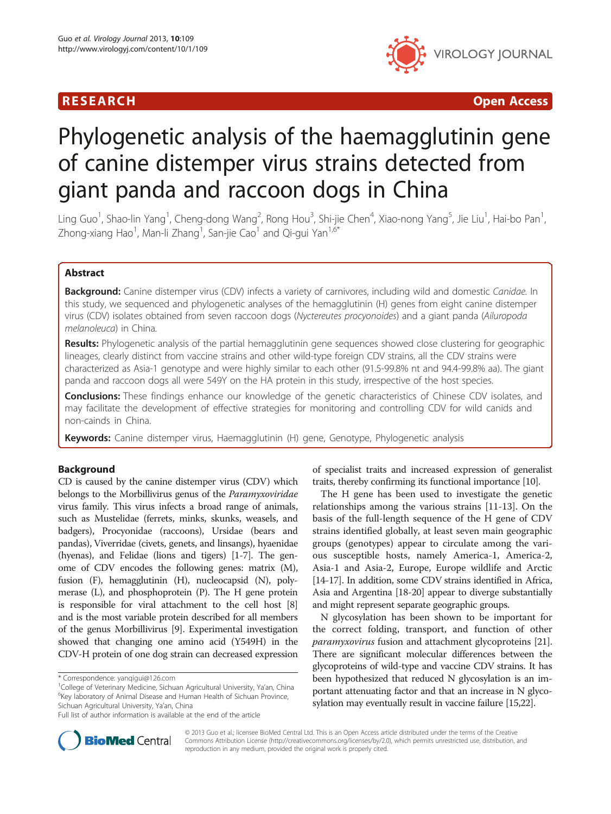# **RESEARCH CHINESE ARCH CHINESE ARCH CHINESE ARCH**



# Phylogenetic analysis of the haemagglutinin gene of canine distemper virus strains detected from giant panda and raccoon dogs in China

Ling Guo<sup>1</sup>, Shao-lin Yang<sup>1</sup>, Cheng-dong Wang<sup>2</sup>, Rong Hou<sup>3</sup>, Shi-jie Chen<sup>4</sup>, Xiao-nong Yang<sup>5</sup>, Jie Liu<sup>1</sup>, Hai-bo Pan<sup>1</sup> , Zhong-xiang Hao<sup>1</sup>, Man-li Zhang<sup>1</sup>, San-jie Cao<sup>1</sup> and Qi-gui Yan<sup>1,6\*</sup>

# Abstract

Background: Canine distemper virus (CDV) infects a variety of carnivores, including wild and domestic Canidae. In this study, we sequenced and phylogenetic analyses of the hemagglutinin (H) genes from eight canine distemper virus (CDV) isolates obtained from seven raccoon dogs (Nyctereutes procyonoides) and a giant panda (Ailuropoda melanoleuca) in China.

**Results:** Phylogenetic analysis of the partial hemagglutinin gene sequences showed close clustering for geographic lineages, clearly distinct from vaccine strains and other wild-type foreign CDV strains, all the CDV strains were characterized as Asia-1 genotype and were highly similar to each other (91.5-99.8% nt and 94.4-99.8% aa). The giant panda and raccoon dogs all were 549Y on the HA protein in this study, irrespective of the host species.

**Conclusions:** These findings enhance our knowledge of the genetic characteristics of Chinese CDV isolates, and may facilitate the development of effective strategies for monitoring and controlling CDV for wild canids and non-cainds in China.

Keywords: Canine distemper virus, Haemagglutinin (H) gene, Genotype, Phylogenetic analysis

# **Background**

CD is caused by the canine distemper virus (CDV) which belongs to the Morbillivirus genus of the Paramyxoviridae virus family. This virus infects a broad range of animals, such as Mustelidae (ferrets, minks, skunks, weasels, and badgers), Procyonidae (raccoons), Ursidae (bears and pandas), Viverridae (civets, genets, and linsangs), hyaenidae (hyenas), and Felidae (lions and tigers) [[1-7\]](#page-5-0). The genome of CDV encodes the following genes: matrix (M), fusion (F), hemagglutinin (H), nucleocapsid (N), polymerase (L), and phosphoprotein (P). The H gene protein is responsible for viral attachment to the cell host [[8](#page-5-0)] and is the most variable protein described for all members of the genus Morbillivirus [\[9\]](#page-5-0). Experimental investigation showed that changing one amino acid (Y549H) in the CDV-H protein of one dog strain can decreased expression

of specialist traits and increased expression of generalist traits, thereby confirming its functional importance [[10](#page-5-0)].

The H gene has been used to investigate the genetic relationships among the various strains [\[11](#page-5-0)-[13](#page-5-0)]. On the basis of the full-length sequence of the H gene of CDV strains identified globally, at least seven main geographic groups (genotypes) appear to circulate among the various susceptible hosts, namely America-1, America-2, Asia-1 and Asia-2, Europe, Europe wildlife and Arctic [[14](#page-5-0)-[17](#page-5-0)]. In addition, some CDV strains identified in Africa, Asia and Argentina [[18-20\]](#page-5-0) appear to diverge substantially and might represent separate geographic groups.

N glycosylation has been shown to be important for the correct folding, transport, and function of other paramyxovirus fusion and attachment glycoproteins [\[21](#page-5-0)]. There are significant molecular differences between the glycoproteins of wild-type and vaccine CDV strains. It has been hypothesized that reduced N glycosylation is an important attenuating factor and that an increase in N glycosylation may eventually result in vaccine failure [\[15,22](#page-5-0)].



© 2013 Guo et al.; licensee BioMed Central Ltd. This is an Open Access article distributed under the terms of the Creative Commons Attribution License [\(http://creativecommons.org/licenses/by/2.0\)](http://creativecommons.org/licenses/by/2.0), which permits unrestricted use, distribution, and reproduction in any medium, provided the original work is properly cited.

<sup>\*</sup> Correspondence: [yanqigui@126.com](mailto:yanqigui@126.com) <sup>1</sup>

<sup>&</sup>lt;sup>1</sup>College of Veterinary Medicine, Sichuan Agricultural University, Ya'an, China  $6$ Key laboratory of Animal Disease and Human Health of Sichuan Province, Sichuan Agricultural University, Ya'an, China

Full list of author information is available at the end of the article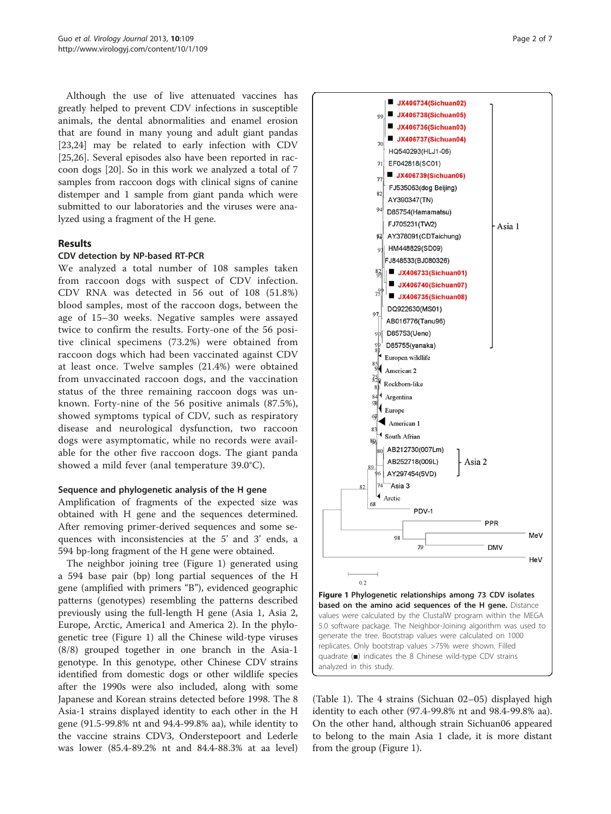<span id="page-1-0"></span>Although the use of live attenuated vaccines has greatly helped to prevent CDV infections in susceptible animals, the dental abnormalities and enamel erosion that are found in many young and adult giant pandas [[23,24\]](#page-5-0) may be related to early infection with CDV [[25,26\]](#page-5-0). Several episodes also have been reported in raccoon dogs [[20](#page-5-0)]. So in this work we analyzed a total of 7 samples from raccoon dogs with clinical signs of canine distemper and 1 sample from giant panda which were submitted to our laboratories and the viruses were analyzed using a fragment of the H gene.

# Results

#### CDV detection by NP-based RT-PCR

We analyzed a total number of 108 samples taken from raccoon dogs with suspect of CDV infection. CDV RNA was detected in 56 out of 108 (51.8%) blood samples, most of the raccoon dogs, between the age of 15–30 weeks. Negative samples were assayed twice to confirm the results. Forty-one of the 56 positive clinical specimens (73.2%) were obtained from raccoon dogs which had been vaccinated against CDV at least once. Twelve samples (21.4%) were obtained from unvaccinated raccoon dogs, and the vaccination status of the three remaining raccoon dogs was unknown. Forty-nine of the 56 positive animals (87.5%), showed symptoms typical of CDV, such as respiratory disease and neurological dysfunction, two raccoon dogs were asymptomatic, while no records were available for the other five raccoon dogs. The giant panda showed a mild fever (anal temperature 39.0°C).

# Sequence and phylogenetic analysis of the H gene

Amplification of fragments of the expected size was obtained with H gene and the sequences determined. After removing primer-derived sequences and some sequences with inconsistencies at the 5' and 3' ends, a 594 bp-long fragment of the H gene were obtained.

The neighbor joining tree (Figure 1) generated using a 594 base pair (bp) long partial sequences of the H gene (amplified with primers "B"), evidenced geographic patterns (genotypes) resembling the patterns described previously using the full-length H gene (Asia 1, Asia 2, Europe, Arctic, America1 and America 2). In the phylogenetic tree (Figure 1) all the Chinese wild-type viruses (8/8) grouped together in one branch in the Asia-1 genotype. In this genotype, other Chinese CDV strains identified from domestic dogs or other wildlife species after the 1990s were also included, along with some Japanese and Korean strains detected before 1998. The 8 Asia-1 strains displayed identity to each other in the H gene (91.5-99.8% nt and 94.4-99.8% aa), while identity to the vaccine strains CDV3, Onderstepoort and Lederle was lower (85.4-89.2% nt and 84.4-88.3% at aa level)



(Table [1\)](#page-2-0). The 4 strains (Sichuan 02–05) displayed high identity to each other (97.4-99.8% nt and 98.4-99.8% aa). On the other hand, although strain Sichuan06 appeared to belong to the main Asia 1 clade, it is more distant from the group (Figure 1).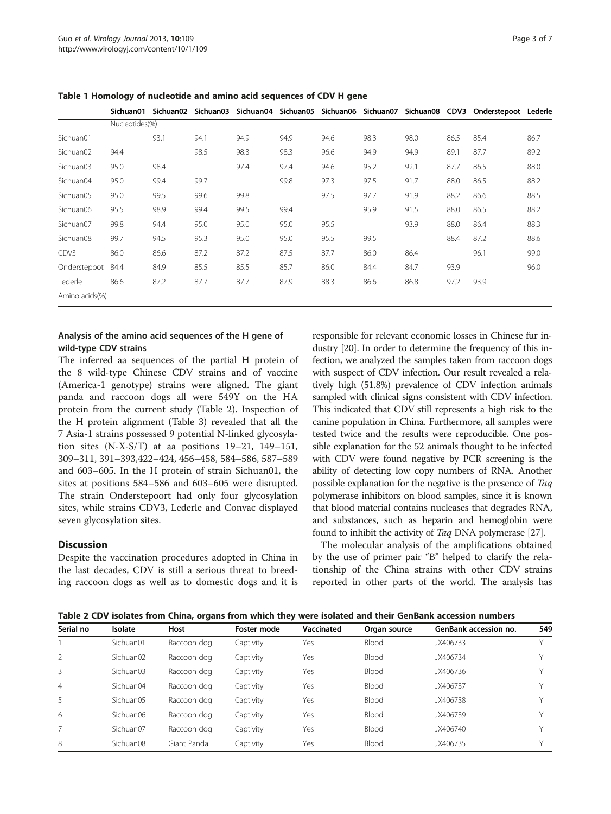|                       | Sichuan01      | Sichuan02 | Sichuan03 | Sichuan04 Sichuan05 |      | Sichuan06 | Sichuan07 | Sichuan08 CDV3 |      | Onderstepoot Lederle |      |
|-----------------------|----------------|-----------|-----------|---------------------|------|-----------|-----------|----------------|------|----------------------|------|
|                       | Nucleotides(%) |           |           |                     |      |           |           |                |      |                      |      |
| Sichuan01             |                | 93.1      | 94.1      | 94.9                | 94.9 | 94.6      | 98.3      | 98.0           | 86.5 | 85.4                 | 86.7 |
| Sichuan <sub>02</sub> | 94.4           |           | 98.5      | 98.3                | 98.3 | 96.6      | 94.9      | 94.9           | 89.1 | 87.7                 | 89.2 |
| Sichuan <sub>03</sub> | 95.0           | 98.4      |           | 97.4                | 97.4 | 94.6      | 95.2      | 92.1           | 87.7 | 86.5                 | 88.0 |
| Sichuan04             | 95.0           | 99.4      | 99.7      |                     | 99.8 | 97.3      | 97.5      | 91.7           | 88.0 | 86.5                 | 88.2 |
| Sichuan05             | 95.0           | 99.5      | 99.6      | 99.8                |      | 97.5      | 97.7      | 91.9           | 88.2 | 86.6                 | 88.5 |
| Sichuan06             | 95.5           | 98.9      | 99.4      | 99.5                | 99.4 |           | 95.9      | 91.5           | 88.0 | 86.5                 | 88.2 |
| Sichuan07             | 99.8           | 94.4      | 95.0      | 95.0                | 95.0 | 95.5      |           | 93.9           | 88.0 | 86.4                 | 88.3 |
| Sichuan08             | 99.7           | 94.5      | 95.3      | 95.0                | 95.0 | 95.5      | 99.5      |                | 88.4 | 87.2                 | 88.6 |
| CDV3                  | 86.0           | 86.6      | 87.2      | 87.2                | 87.5 | 87.7      | 86.0      | 86.4           |      | 96.1                 | 99.0 |
| Onderstepoot 84.4     |                | 84.9      | 85.5      | 85.5                | 85.7 | 86.0      | 84.4      | 84.7           | 93.9 |                      | 96.0 |
| Lederle               | 86.6           | 87.2      | 87.7      | 87.7                | 87.9 | 88.3      | 86.6      | 86.8           | 97.2 | 93.9                 |      |
| Amino acids(%)        |                |           |           |                     |      |           |           |                |      |                      |      |

<span id="page-2-0"></span>Table 1 Homology of nucleotide and amino acid sequences of CDV H gene

### Analysis of the amino acid sequences of the H gene of wild-type CDV strains

The inferred aa sequences of the partial H protein of the 8 wild-type Chinese CDV strains and of vaccine (America-1 genotype) strains were aligned. The giant panda and raccoon dogs all were 549Y on the HA protein from the current study (Table 2). Inspection of the H protein alignment (Table [3\)](#page-3-0) revealed that all the 7 Asia-1 strains possessed 9 potential N-linked glycosylation sites (N-X-S/T) at aa positions 19–21, 149–151, 309–311, 391–393,422–424, 456–458, 584–586, 587–589 and 603–605. In the H protein of strain Sichuan01, the sites at positions 584–586 and 603–605 were disrupted. The strain Onderstepoort had only four glycosylation sites, while strains CDV3, Lederle and Convac displayed seven glycosylation sites.

# **Discussion**

Despite the vaccination procedures adopted in China in the last decades, CDV is still a serious threat to breeding raccoon dogs as well as to domestic dogs and it is

responsible for relevant economic losses in Chinese fur industry [\[20\]](#page-5-0). In order to determine the frequency of this infection, we analyzed the samples taken from raccoon dogs with suspect of CDV infection. Our result revealed a relatively high (51.8%) prevalence of CDV infection animals sampled with clinical signs consistent with CDV infection. This indicated that CDV still represents a high risk to the canine population in China. Furthermore, all samples were tested twice and the results were reproducible. One possible explanation for the 52 animals thought to be infected with CDV were found negative by PCR screening is the ability of detecting low copy numbers of RNA. Another possible explanation for the negative is the presence of Taq polymerase inhibitors on blood samples, since it is known that blood material contains nucleases that degrades RNA, and substances, such as heparin and hemoglobin were found to inhibit the activity of Taq DNA polymerase [\[27\]](#page-5-0).

The molecular analysis of the amplifications obtained by the use of primer pair "B" helped to clarify the relationship of the China strains with other CDV strains reported in other parts of the world. The analysis has

Table 2 CDV isolates from China, organs from which they were isolated and their GenBank accession numbers

| Serial no      | Isolate               | Host        | Foster mode | Vaccinated | Organ source | <b>GenBank accession no.</b> | 549 |
|----------------|-----------------------|-------------|-------------|------------|--------------|------------------------------|-----|
|                | Sichuan01             | Raccoon dog | Captivity   | Yes        | Blood        | JX406733                     |     |
|                | Sichuan02             | Raccoon dog | Captivity   | Yes        | Blood        | JX406734                     |     |
| 3              | Sichuan <sub>03</sub> | Raccoon dog | Captivity   | Yes        | Blood        | JX406736                     |     |
| $\overline{4}$ | Sichuan04             | Raccoon dog | Captivity   | Yes        | Blood        | JX406737                     |     |
| 5              | Sichuan05             | Raccoon dog | Captivity   | Yes        | Blood        | JX406738                     |     |
| 6              | Sichuan06             | Raccoon dog | Captivity   | Yes        | Blood        | JX406739                     |     |
|                | Sichuan07             | Raccoon dog | Captivity   | Yes        | Blood        | JX406740                     |     |
| 8              | Sichuan08             | Giant Panda | Captivity   | Yes        | Blood        | JX406735                     |     |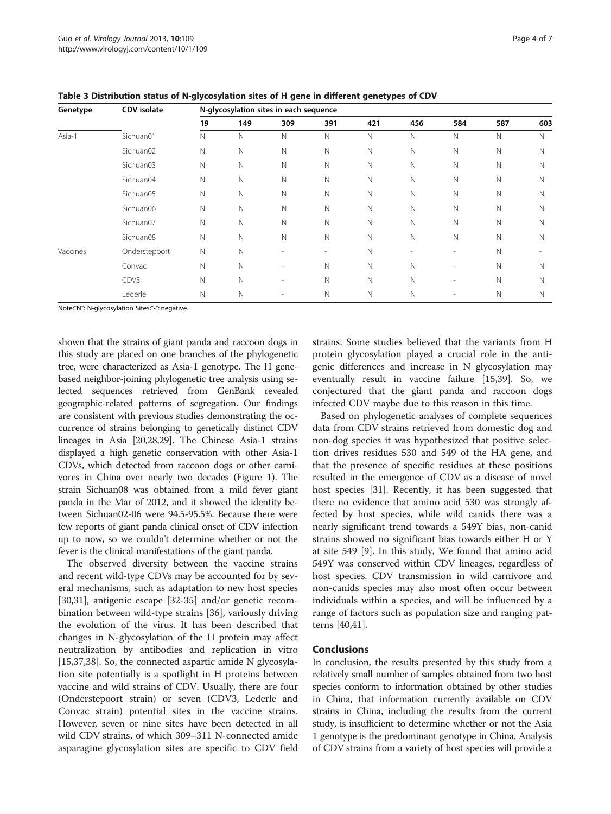| Genetype | <b>CDV</b> isolate | N-glycosylation sites in each sequence |              |     |              |              |              |                              |             |     |
|----------|--------------------|----------------------------------------|--------------|-----|--------------|--------------|--------------|------------------------------|-------------|-----|
|          |                    | 19                                     | 149          | 309 | 391          | 421          | 456          | 584                          | 587         | 603 |
| Asia-1   | Sichuan01          | Ν                                      | $\mathbb N$  | N   | $\mathsf{N}$ | $\mathbb N$  | N            | N                            | N           | N   |
|          | Sichuan02          | Ν                                      | N            | N   | $\mathbb N$  | N            | N            | N                            | N           | N   |
|          | Sichuan03          | Ν                                      | $\mathsf{N}$ | N   | $\mathsf{N}$ | $\mathsf{N}$ | N            | N                            | N           | N   |
|          | Sichuan04          | Ν                                      | Ν            | N   | N            | $\mathbb N$  | Ν            | Ν                            | N           | N   |
|          | Sichuan05          | Ν                                      | $\mathsf{N}$ | Ν   | N            | N            | $\mathsf{N}$ | Ν                            | N           | N   |
|          | Sichuan06          | Ν                                      | Ν            | N   | N            | Ν            | Ν            | Ν                            | N           | Ν   |
|          | Sichuan07          | N                                      | $\mathsf{N}$ | N   | $\mathbb N$  | N            | N            | N                            | $\mathbb N$ | N   |
|          | Sichuan08          | N                                      | $\mathbb N$  | N   | $\mathsf{N}$ | $\mathbb N$  | $\mathbb N$  | N                            | $\mathbb N$ | N   |
| Vaccines | Onderstepoort      | Ν                                      | $\mathsf{N}$ |     | ۰            | N            | ٠            | $\qquad \qquad \blacksquare$ | $\mathbb N$ |     |
|          | Convac             | N                                      | $\mathbb N$  | ٠   | $\mathbb N$  | $\mathbb N$  | $\mathbb N$  | $\overline{\phantom{a}}$     | $\mathbb N$ | N   |
|          | CDV3               | N                                      | $\mathsf{N}$ | ٠   | $\mathbb N$  | $\mathbb N$  | N            | $\overline{\phantom{a}}$     | N           | N   |
|          | Lederle            | N                                      | $\mathsf{N}$ |     | $\mathsf{N}$ | Ν            | N            |                              | N           | N   |

<span id="page-3-0"></span>Table 3 Distribution status of N-glycosylation sites of H gene in different genetypes of CDV

Note:"N": N-glycosylation Sites;"-": negative.

shown that the strains of giant panda and raccoon dogs in this study are placed on one branches of the phylogenetic tree, were characterized as Asia-1 genotype. The H genebased neighbor-joining phylogenetic tree analysis using selected sequences retrieved from GenBank revealed geographic-related patterns of segregation. Our findings are consistent with previous studies demonstrating the occurrence of strains belonging to genetically distinct CDV lineages in Asia [\[20,28](#page-5-0)[,29\]](#page-6-0). The Chinese Asia-1 strains displayed a high genetic conservation with other Asia-1 CDVs, which detected from raccoon dogs or other carnivores in China over nearly two decades (Figure [1](#page-1-0)). The strain Sichuan08 was obtained from a mild fever giant panda in the Mar of 2012, and it showed the identity between Sichuan02-06 were 94.5-95.5%. Because there were few reports of giant panda clinical onset of CDV infection up to now, so we couldn't determine whether or not the fever is the clinical manifestations of the giant panda.

The observed diversity between the vaccine strains and recent wild-type CDVs may be accounted for by several mechanisms, such as adaptation to new host species [[30,31\]](#page-6-0), antigenic escape [[32-35](#page-6-0)] and/or genetic recombination between wild-type strains [\[36](#page-6-0)], variously driving the evolution of the virus. It has been described that changes in N-glycosylation of the H protein may affect neutralization by antibodies and replication in vitro [[15,](#page-5-0)[37,38\]](#page-6-0). So, the connected aspartic amide N glycosylation site potentially is a spotlight in H proteins between vaccine and wild strains of CDV. Usually, there are four (Onderstepoort strain) or seven (CDV3, Lederle and Convac strain) potential sites in the vaccine strains. However, seven or nine sites have been detected in all wild CDV strains, of which 309–311 N-connected amide asparagine glycosylation sites are specific to CDV field strains. Some studies believed that the variants from H protein glycosylation played a crucial role in the antigenic differences and increase in N glycosylation may eventually result in vaccine failure [\[15,](#page-5-0)[39\]](#page-6-0). So, we conjectured that the giant panda and raccoon dogs infected CDV maybe due to this reason in this time.

Based on phylogenetic analyses of complete sequences data from CDV strains retrieved from domestic dog and non-dog species it was hypothesized that positive selection drives residues 530 and 549 of the HA gene, and that the presence of specific residues at these positions resulted in the emergence of CDV as a disease of novel host species [[31](#page-6-0)]. Recently, it has been suggested that there no evidence that amino acid 530 was strongly affected by host species, while wild canids there was a nearly significant trend towards a 549Y bias, non-canid strains showed no significant bias towards either H or Y at site 549 [\[9](#page-5-0)]. In this study, We found that amino acid 549Y was conserved within CDV lineages, regardless of host species. CDV transmission in wild carnivore and non-canids species may also most often occur between individuals within a species, and will be influenced by a range of factors such as population size and ranging patterns [\[40,41](#page-6-0)].

#### Conclusions

In conclusion, the results presented by this study from a relatively small number of samples obtained from two host species conform to information obtained by other studies in China, that information currently available on CDV strains in China, including the results from the current study, is insufficient to determine whether or not the Asia 1 genotype is the predominant genotype in China. Analysis of CDV strains from a variety of host species will provide a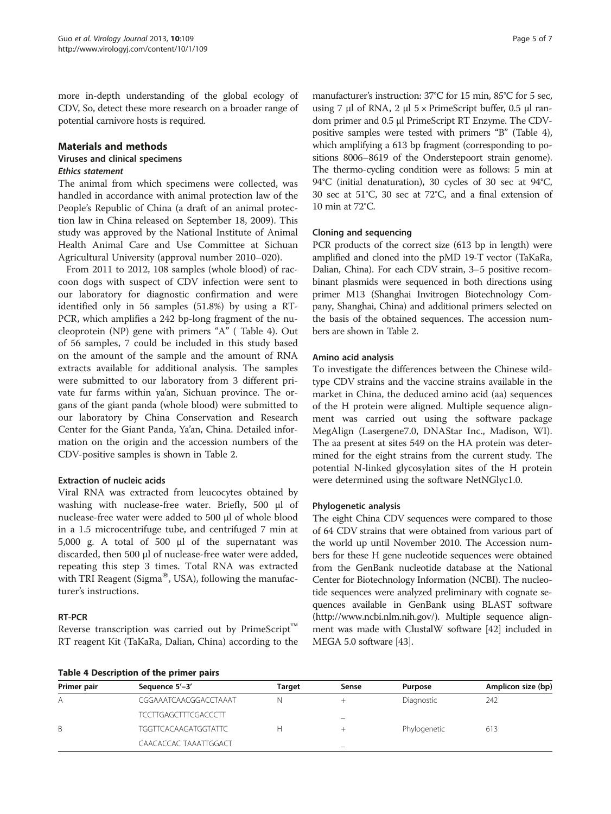more in-depth understanding of the global ecology of CDV, So, detect these more research on a broader range of potential carnivore hosts is required.

#### Materials and methods

#### Viruses and clinical specimens Ethics statement

The animal from which specimens were collected, was handled in accordance with animal protection law of the People's Republic of China (a draft of an animal protection law in China released on September 18, 2009). This study was approved by the National Institute of Animal Health Animal Care and Use Committee at Sichuan Agricultural University (approval number 2010–020).

From 2011 to 2012, 108 samples (whole blood) of raccoon dogs with suspect of CDV infection were sent to our laboratory for diagnostic confirmation and were identified only in 56 samples (51.8%) by using a RT-PCR, which amplifies a 242 bp-long fragment of the nucleoprotein (NP) gene with primers "A" ( Table 4). Out of 56 samples, 7 could be included in this study based on the amount of the sample and the amount of RNA extracts available for additional analysis. The samples were submitted to our laboratory from 3 different private fur farms within ya'an, Sichuan province. The organs of the giant panda (whole blood) were submitted to our laboratory by China Conservation and Research Center for the Giant Panda, Ya'an, China. Detailed information on the origin and the accession numbers of the CDV-positive samples is shown in Table [2.](#page-2-0)

# Extraction of nucleic acids

Viral RNA was extracted from leucocytes obtained by washing with nuclease-free water. Briefly, 500 μl of nuclease-free water were added to 500 μl of whole blood in a 1.5 microcentrifuge tube, and centrifuged 7 min at 5,000 g. A total of 500 μl of the supernatant was discarded, then 500 μl of nuclease-free water were added, repeating this step 3 times. Total RNA was extracted with TRI Reagent (Sigma®, USA), following the manufacturer's instructions.

#### RT-PCR

Reverse transcription was carried out by PrimeScript<sup>™</sup> RT reagent Kit (TaKaRa, Dalian, China) according to the

manufacturer's instruction: 37°C for 15 min, 85°C for 5 sec, using 7 μl of RNA, 2 μl  $5 \times$  PrimeScript buffer, 0.5 μl random primer and 0.5 μl PrimeScript RT Enzyme. The CDVpositive samples were tested with primers "B" (Table 4), which amplifying a 613 bp fragment (corresponding to positions 8006–8619 of the Onderstepoort strain genome). The thermo-cycling condition were as follows: 5 min at 94°C (initial denaturation), 30 cycles of 30 sec at 94°C, 30 sec at 51°C, 30 sec at 72°C, and a final extension of 10 min at 72°C.

#### Cloning and sequencing

PCR products of the correct size (613 bp in length) were amplified and cloned into the pMD 19-T vector (TaKaRa, Dalian, China). For each CDV strain, 3–5 positive recombinant plasmids were sequenced in both directions using primer M13 (Shanghai Invitrogen Biotechnology Company, Shanghai, China) and additional primers selected on the basis of the obtained sequences. The accession numbers are shown in Table [2.](#page-2-0)

#### Amino acid analysis

To investigate the differences between the Chinese wildtype CDV strains and the vaccine strains available in the market in China, the deduced amino acid (aa) sequences of the H protein were aligned. Multiple sequence alignment was carried out using the software package MegAlign (Lasergene7.0, DNAStar Inc., Madison, WI). The aa present at sites 549 on the HA protein was determined for the eight strains from the current study. The potential N-linked glycosylation sites of the H protein were determined using the software NetNGlyc1.0.

#### Phylogenetic analysis

The eight China CDV sequences were compared to those of 64 CDV strains that were obtained from various part of the world up until November 2010. The Accession numbers for these H gene nucleotide sequences were obtained from the GenBank nucleotide database at the National Center for Biotechnology Information (NCBI). The nucleotide sequences were analyzed preliminary with cognate sequences available in GenBank using BLAST software ([http://www.ncbi.nlm.nih.gov/\)](http://www.ncbi.nlm.nih.gov/). Multiple sequence alignment was made with ClustalW software [\[42\]](#page-6-0) included in MEGA 5.0 software [[43\]](#page-6-0).

| Table 4 Description of the primer pairs |                             |        |                          |                |                    |  |  |  |
|-----------------------------------------|-----------------------------|--------|--------------------------|----------------|--------------------|--|--|--|
| Primer pair                             | Sequence 5'-3'              | Target | Sense                    | <b>Purpose</b> | Amplicon size (bp) |  |  |  |
| Α                                       | CGGAAATCAACGGACCTAAAT       | N      |                          | Diagnostic     | 242                |  |  |  |
|                                         | <b>TCCTTGAGCTTTCGACCCTT</b> |        |                          |                |                    |  |  |  |
| B.                                      | <b>TGGTTCACAAGATGGTATTC</b> |        |                          | Phylogenetic   | 613                |  |  |  |
|                                         | CAACACCAC TAAATTGGACT       |        | $\overline{\phantom{a}}$ |                |                    |  |  |  |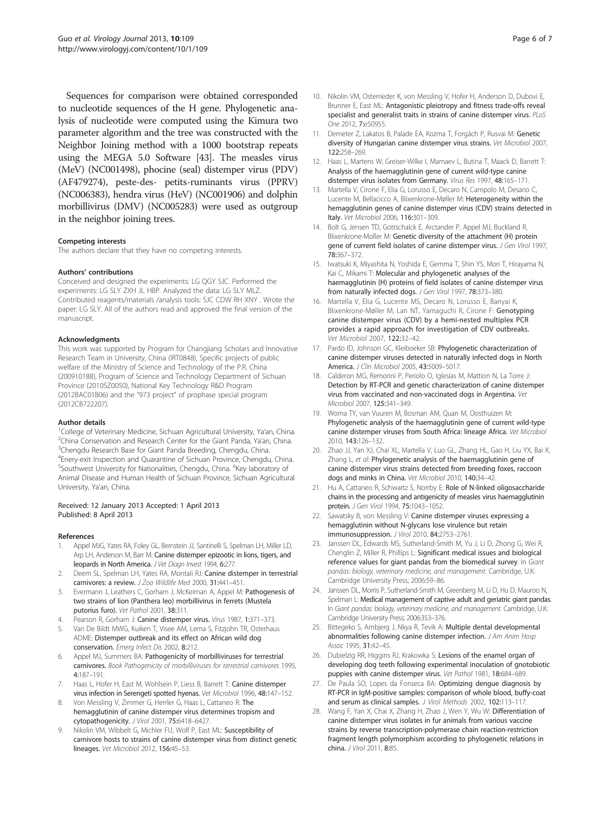<span id="page-5-0"></span>Sequences for comparison were obtained corresponded to nucleotide sequences of the H gene. Phylogenetic analysis of nucleotide were computed using the Kimura two parameter algorithm and the tree was constructed with the Neighbor Joining method with a 1000 bootstrap repeats using the MEGA 5.0 Software [\[43\]](#page-6-0). The measles virus (MeV) (NC001498), phocine (seal) distemper virus (PDV) (AF479274), peste-des- petits-ruminants virus (PPRV) (NC006383), hendra virus (HeV) (NC001906) and dolphin morbillivirus (DMV) (NC005283) were used as outgroup in the neighbor joining trees.

#### Competing interests

The authors declare that they have no competing interests.

#### Authors' contributions

Conceived and designed the experiments: LG QGY SJC. Performed the experiments: LG SLY ZXH JL HBP. Analyzed the data: LG SLY MLZ. Contributed reagents/materials /analysis tools: SJC CDW RH XNY . Wrote the paper: LG SLY. All of the authors read and approved the final version of the manuscript.

#### Acknowledgments

This work was supported by Program for Changjiang Scholars and Innovative Research Team in University, China (IRT0848), Specific projects of public welfare of the Ministry of Science and Technology of the P.R. China (200910188), Program of Science and Technology Department of Sichuan Province (2010SZ0050), National Key Technology R&D Program (2012BAC01B06) and the "973 project" of prophase special program (2012CB722207).

#### Author details

<sup>1</sup>College of Veterinary Medicine, Sichuan Agricultural University, Ya'an, China.<br><sup>2</sup>China Consensation and Besearch Center for the Giant Panda. Ya'an, China. <sup>2</sup>China Conservation and Research Center for the Giant Panda, Ya'an, China. <sup>3</sup>Chengdu Research Base for Giant Panda Breeding, Chengdu, China. 4 Enery-exit Inspection and Quarantine of Sichuan Province, Chengdu, China. <sup>5</sup>Southwest University for Nationalities, Chengdu, China. <sup>6</sup>Key laboratory of Animal Disease and Human Health of Sichuan Province, Sichuan Agricultural University, Ya'an, China.

#### Received: 12 January 2013 Accepted: 1 April 2013 Published: 8 April 2013

#### References

- 1. Appel MJG, Yates RA, Foley GL, Bernstein JJ, Santinelli S, Spelman LH, Miller LD, Arp LH, Anderson M, Barr M: Canine distemper epizootic in lions, tigers, and leopards in North America. J Vet Diagn Invest 1994, 6:277.
- 2. Deem SL, Spelman LH, Yates RA, Montali RJ: Canine distemper in terrestrial carnivores: a review. J Zoo Wildlife Med 2000, 31:441-451.
- 3. Evermann J, Leathers C, Gorham J, McKeirnan A, Appel M: Pathogenesis of two strains of lion (Panthera leo) morbillivirus in ferrets (Mustela putorius furo). Vet Pathol 2001, 38:311.
- 4. Pearson R, Gorham J: Canine distemper virus. Virus 1987, 1:371-373.
- 5. Van De Bildt MWG, Kuiken T, Visee AM, Lema S, Fitzjohn TR, Osterhaus ADME: Distemper outbreak and its effect on African wild dog conservation. Emerg Infect Dis 2002, 8:212.
- Appel MJ, Summers BA: Pathogenicity of morbilliviruses for terrestrial carnivores. Book Pathogenicity of morbilliviruses for terrestrial carnivores 1995, 4:187–191.
- 7. Haas L, Hofer H, East M, Wohlsein P, Liess B, Barrett T: Canine distemper virus infection in Serengeti spotted hyenas. Vet Microbiol 1996, 48:147–152.
- Von Messling V, Zimmer G, Herrler G, Haas L, Cattaneo R: The hemagglutinin of canine distemper virus determines tropism and cytopathogenicity. J Virol 2001, 75:6418–6427.
- Nikolin VM, Wibbelt G, Michler FU, Wolf P, East ML: Susceptibility of carnivore hosts to strains of canine distemper virus from distinct genetic lineages. Vet Microbiol 2012, 156:45–53.
- 10. Nikolin VM, Osterrieder K, von Messling V, Hofer H, Anderson D, Dubovi E, Brunner E, East ML: Antagonistic pleiotropy and fitness trade-offs reveal specialist and generalist traits in strains of canine distemper virus. PLoS One 2012, 7:e50955.
- 11. Demeter Z, Lakatos B, Palade EA, Kozma T, Forgách P, Rusvai M: Genetic diversity of Hungarian canine distemper virus strains. Vet Microbiol 2007, 122:258–269.
- 12. Haas L, Martens W, Greiser-Wilke I, Mamaev L, Butina T, Maack D, Barrett T: Analysis of the haemagglutinin gene of current wild-type canine distemper virus isolates from Germany. Virus Res 1997, 48:165–171.
- Martella V, Cirone F, Elia G, Lorusso E, Decaro N, Campolo M, Desario C, Lucente M, Bellacicco A, Blixenkrone-Møller M: Heterogeneity within the hemagglutinin genes of canine distemper virus (CDV) strains detected in Italy. Vet Microbiol 2006, 116:301–309.
- 14. Bolt G, Jensen TD, Gottschalck E, Arctander P, Appel MJ, Buckland R, Blixenkrone-Moller M: Genetic diversity of the attachment (H) protein gene of current field isolates of canine distemper virus. J Gen Virol 1997, 78:367–372.
- 15. Iwatsuki K, Miyashita N, Yoshida E, Gemma T, Shin YS, Mori T, Hirayama N, Kai C, Mikami T: Molecular and phylogenetic analyses of the haemagglutinin (H) proteins of field isolates of canine distemper virus from naturally infected dogs. J Gen Virol 1997, 78:373-380.
- 16. Martella V, Elia G, Lucente MS, Decaro N, Lorusso E, Banyai K, Blixenkrone-Møller M, Lan NT, Yamaguchi R, Cirone F: Genotyping canine distemper virus (CDV) by a hemi-nested multiplex PCR provides a rapid approach for investigation of CDV outbreaks. Vet Microbiol 2007, 122:32–42.
- 17. Pardo ID, Johnson GC, Kleiboeker SB: Phylogenetic characterization of canine distemper viruses detected in naturally infected dogs in North America. J Clin Microbiol 2005, 43:5009–5017.
- 18. Calderon MG, Remorini P, Periolo O, Iglesias M, Mattion N, La Torre J: Detection by RT-PCR and genetic characterization of canine distemper virus from vaccinated and non-vaccinated dogs in Argentina. Vet Microbiol 2007, 125:341–349.
- 19. Woma TY, van Vuuren M, Bosman AM, Quan M, Oosthuizen M: Phylogenetic analysis of the haemagglutinin gene of current wild-type canine distemper viruses from South Africa: lineage Africa. Vet Microbiol 2010, 143:126–132.
- 20. Zhao JJ, Yan XJ, Chai XL, Martella V, Luo GL, Zhang HL, Gao H, Liu YX, Bai X, Zhang L, et al: Phylogenetic analysis of the haemagglutinin gene of canine distemper virus strains detected from breeding foxes, raccoon dogs and minks in China. Vet Microbiol 2010, 140:34–42.
- 21. Hu A, Cattaneo R, Schwartz S, Norrby E: Role of N-linked oligosaccharide chains in the processing and antigenicity of measles virus haemagglutinin protein. J Gen Virol 1994, 75:1043–1052.
- 22. Sawatsky B, von Messling V: Canine distemper viruses expressing a hemagglutinin without N-glycans lose virulence but retain immunosuppression. J Virol 2010, 84:2753–2761.
- 23. Janssen DL, Edwards MS, Sutherland-Smith M, Yu J, Li D, Zhong G, Wei R, Chenglin Z, Miller R, Phillips L: Significant medical issues and biological reference values for giant pandas from the biomedical survey. In Giant pandas: biology, veterinary medicine, and management. Cambridge, U.K: Cambridge University Press; 2006:59–86.
- 24. Janssen DL, Morris P, Sutherland-Smith M, Greenberg M, Li D, Hu D, Mauroo N, Spelman L: Medical management of captive adult and geriatric giant pandas. In Giant pandas: biology, veterinary medicine, and management. Cambridge, U.K: Cambridge University Press; 2006:353–376.
- 25. Bittegeko S, Arnbjerg J, Nkya R, Tevik A: Multiple dental developmental abnormalities following canine distemper infection. J Am Anim Hosp Assoc 1995, 31:42–45.
- 26. Dubielzig RR, Higgins RJ, Krakowka S: Lesions of the enamel organ of developing dog teeth following experimental inoculation of gnotobiotic puppies with canine distemper virus. Vet Pathol 1981, 18:684–689.
- 27. De Paula SO, Lopes da Fonseca BA: Optimizing dengue diagnosis by RT-PCR in IgM-positive samples: comparison of whole blood, buffy-coat and serum as clinical samples. J Virol Methods 2002, 102:113-117.
- 28. Wang F, Yan X, Chai X, Zhang H, Zhao J, Wen Y, Wu W: Differentiation of canine distemper virus isolates in fur animals from various vaccine strains by reverse transcription-polymerase chain reaction-restriction fragment length polymorphism according to phylogenetic relations in china. J Virol 2011, 8:85.